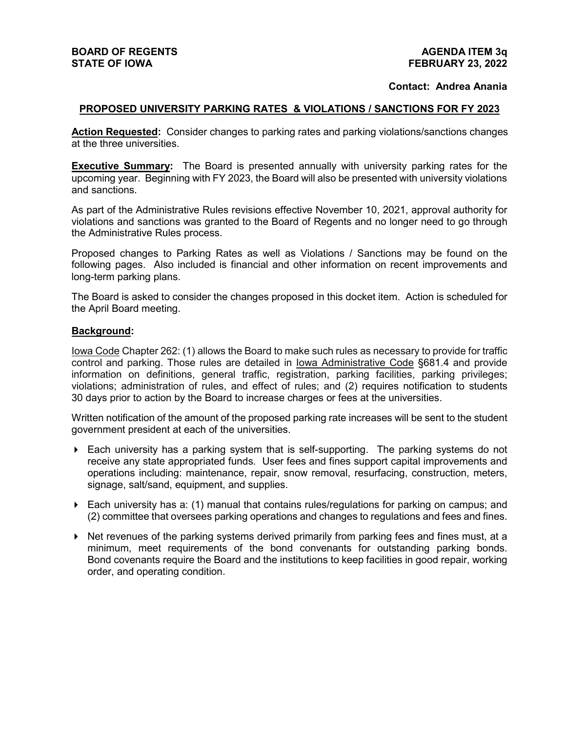#### **Contact: Andrea Anania**

#### **PROPOSED UNIVERSITY PARKING RATES & VIOLATIONS / SANCTIONS FOR FY 2023**

**Action Requested:** Consider changes to parking rates and parking violations/sanctions changes at the three universities.

**Executive Summary:** The Board is presented annually with university parking rates for the upcoming year. Beginning with FY 2023, the Board will also be presented with university violations and sanctions.

As part of the Administrative Rules revisions effective November 10, 2021, approval authority for violations and sanctions was granted to the Board of Regents and no longer need to go through the Administrative Rules process.

Proposed changes to Parking Rates as well as Violations / Sanctions may be found on the following pages. Also included is financial and other information on recent improvements and long-term parking plans.

The Board is asked to consider the changes proposed in this docket item. Action is scheduled for the April Board meeting.

#### **Background:**

Iowa Code Chapter 262: (1) allows the Board to make such rules as necessary to provide for traffic control and parking. Those rules are detailed in Iowa Administrative Code §681.4 and provide information on definitions, general traffic, registration, parking facilities, parking privileges; violations; administration of rules, and effect of rules; and (2) requires notification to students 30 days prior to action by the Board to increase charges or fees at the universities.

Written notification of the amount of the proposed parking rate increases will be sent to the student government president at each of the universities.

- $\blacktriangleright$  Each university has a parking system that is self-supporting. The parking systems do not receive any state appropriated funds. User fees and fines support capital improvements and operations including: maintenance, repair, snow removal, resurfacing, construction, meters, signage, salt/sand, equipment, and supplies.
- $\triangleright$  Each university has a: (1) manual that contains rules/regulations for parking on campus; and (2) committee that oversees parking operations and changes to regulations and fees and fines.
- $\triangleright$  Net revenues of the parking systems derived primarily from parking fees and fines must, at a minimum, meet requirements of the bond convenants for outstanding parking bonds. Bond covenants require the Board and the institutions to keep facilities in good repair, working order, and operating condition.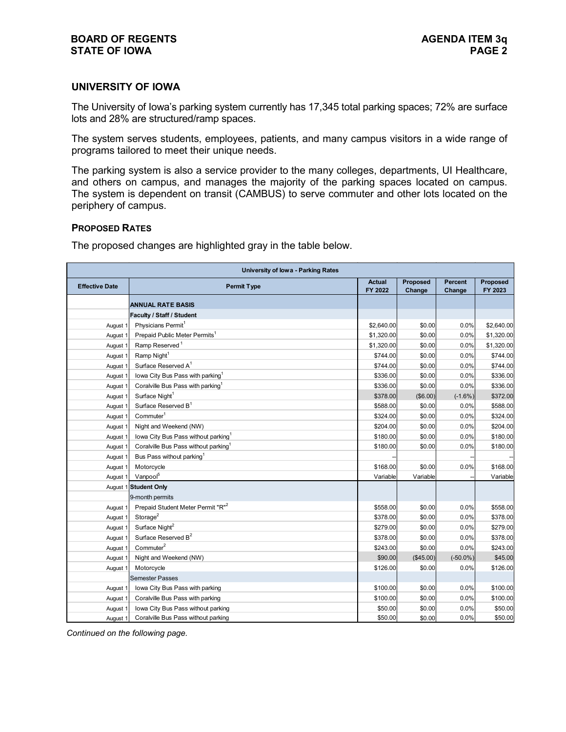#### **UNIVERSITY OF IOWA**

The University of Iowa's parking system currently has 17,345 total parking spaces; 72% are surface lots and 28% are structured/ramp spaces.

The system serves students, employees, patients, and many campus visitors in a wide range of programs tailored to meet their unique needs.

The parking system is also a service provider to the many colleges, departments, UI Healthcare, and others on campus, and manages the majority of the parking spaces located on campus. The system is dependent on transit (CAMBUS) to serve commuter and other lots located on the periphery of campus.

#### **PROPOSED RATES**

The proposed changes are highlighted gray in the table below.

| <b>University of lowa - Parking Rates</b> |                                                  |               |           |                |            |  |  |
|-------------------------------------------|--------------------------------------------------|---------------|-----------|----------------|------------|--|--|
| <b>Effective Date</b>                     | <b>Permit Type</b>                               | <b>Actual</b> | Proposed  | <b>Percent</b> | Proposed   |  |  |
|                                           |                                                  | FY 2022       | Change    | Change         | FY 2023    |  |  |
|                                           | <b>ANNUAL RATE BASIS</b>                         |               |           |                |            |  |  |
|                                           | Faculty / Staff / Student                        |               |           |                |            |  |  |
| August 1                                  | Physicians Permit <sup>1</sup>                   | \$2,640.00    | \$0.00    | 0.0%           | \$2,640.00 |  |  |
| August 1                                  | Prepaid Public Meter Permits <sup>1</sup>        | \$1,320.00    | \$0.00    | 0.0%           | \$1,320.00 |  |  |
| August 1                                  | Ramp Reserved <sup>1</sup>                       | \$1,320.00    | \$0.00    | 0.0%           | \$1,320.00 |  |  |
| August 1                                  | Ramp Night <sup>1</sup>                          | \$744.00      | \$0.00    | 0.0%           | \$744.00   |  |  |
| August 1                                  | Surface Reserved A <sup>1</sup>                  | \$744.00      | \$0.00    | 0.0%           | \$744.00   |  |  |
| August 1                                  | lowa City Bus Pass with parking <sup>1</sup>     | \$336.00      | \$0.00    | 0.0%           | \$336.00   |  |  |
| August 1                                  | Coralville Bus Pass with parking <sup>1</sup>    | \$336.00      | \$0.00    | $0.0\%$        | \$336.00   |  |  |
| August 1                                  | Surface Night <sup>1</sup>                       | \$378.00      | (\$6.00)  | $(-1.6%)$      | \$372.00   |  |  |
| August 1                                  | Surface Reserved B <sup>1</sup>                  | \$588.00      | \$0.00    | 0.0%           | \$588.00   |  |  |
| August 1                                  | Comment <sup>1</sup>                             | \$324.00      | \$0.00    | 0.0%           | \$324.00   |  |  |
| August 1                                  | Night and Weekend (NW)                           | \$204.00      | \$0.00    | 0.0%           | \$204.00   |  |  |
| August 1                                  | lowa City Bus Pass without parking               | \$180.00      | \$0.00    | 0.0%           | \$180.00   |  |  |
| August 1                                  | Coralville Bus Pass without parking <sup>1</sup> | \$180.00      | \$0.00    | 0.0%           | \$180.00   |  |  |
| August 1                                  | Bus Pass without parking <sup>1</sup>            |               |           |                |            |  |  |
| August 1                                  | Motorcycle                                       | \$168.00      | \$0.00    | 0.0%           | \$168.00   |  |  |
| August 1                                  | Vanpool <sup>5</sup>                             | Variable      | Variable  |                | Variable   |  |  |
|                                           | August 1 Student Only                            |               |           |                |            |  |  |
|                                           | 9-month permits                                  |               |           |                |            |  |  |
| August 1                                  | Prepaid Student Meter Permit "R" <sup>2</sup>    | \$558.00      | \$0.00    | 0.0%           | \$558.00   |  |  |
| August 1                                  | Storage <sup>2</sup>                             | \$378.00      | \$0.00    | 0.0%           | \$378.00   |  |  |
| August 1                                  | Surface Night <sup>2</sup>                       | \$279.00      | \$0.00    | 0.0%           | \$279.00   |  |  |
| August 1                                  | Surface Reserved B <sup>2</sup>                  | \$378.00      | \$0.00    | 0.0%           | \$378.00   |  |  |
| August 1                                  | Commuter <sup>2</sup>                            | \$243.00      | \$0.00    | 0.0%           | \$243.00   |  |  |
| August 1                                  | Night and Weekend (NW)                           | \$90.00       | (\$45.00) | $(-50.0\%)$    | \$45.00    |  |  |
| August 1                                  | Motorcycle                                       | \$126.00      | \$0.00    | 0.0%           | \$126.00   |  |  |
|                                           | <b>Semester Passes</b>                           |               |           |                |            |  |  |
| August 1                                  | Iowa City Bus Pass with parking                  | \$100.00      | \$0.00    | 0.0%           | \$100.00   |  |  |
| August 1                                  | Coralville Bus Pass with parking                 | \$100.00      | \$0.00    | 0.0%           | \$100.00   |  |  |
| August 1                                  | Iowa City Bus Pass without parking               | \$50.00       | \$0.00    | 0.0%           | \$50.00    |  |  |
| August 1                                  | Coralville Bus Pass without parking              | \$50.00       | \$0.00    | 0.0%           | \$50.00    |  |  |

*Continued on the following page.*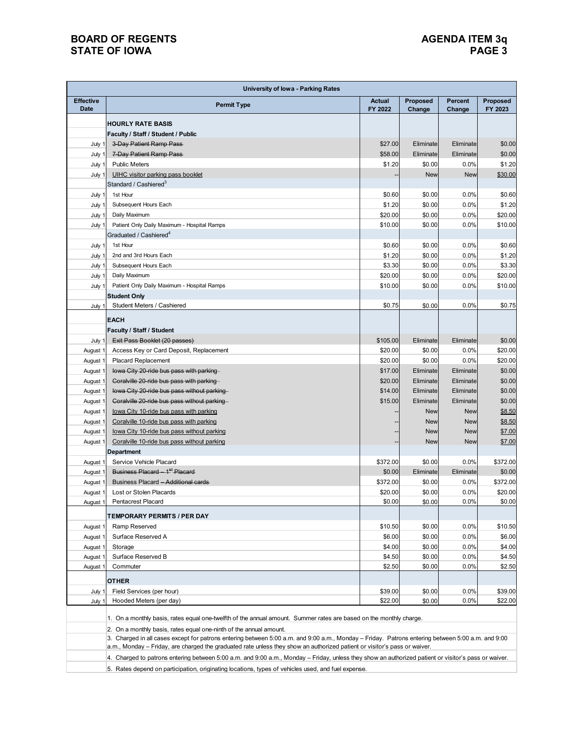# **STATE OF IOWA PAGE 3**

# **BOARD OF REGENTS<br>STATE OF IOWA**

| <b>University of lowa - Parking Rates</b> |                                                                                                                                                      |                          |                    |                          |                     |  |  |
|-------------------------------------------|------------------------------------------------------------------------------------------------------------------------------------------------------|--------------------------|--------------------|--------------------------|---------------------|--|--|
| <b>Effective</b><br><b>Date</b>           | <b>Permit Type</b>                                                                                                                                   | <b>Actual</b><br>FY 2022 | Proposed<br>Change | <b>Percent</b><br>Change | Proposed<br>FY 2023 |  |  |
|                                           |                                                                                                                                                      |                          |                    |                          |                     |  |  |
|                                           | <b>HOURLY RATE BASIS</b><br>Faculty / Staff / Student / Public                                                                                       |                          |                    |                          |                     |  |  |
| July 1                                    | 3-Day Patient Ramp Pass                                                                                                                              | \$27.00                  | Eliminate          | Eliminate                | \$0.00              |  |  |
| July 1                                    | 7-Day Patient Ramp Pass                                                                                                                              | \$58.00                  | Eliminate          | Eliminate                | \$0.00              |  |  |
| July 1                                    | <b>Public Meters</b>                                                                                                                                 | \$1.20                   | \$0.00             | 0.0%                     | \$1.20              |  |  |
| July 1                                    | <b>UIHC visitor parking pass booklet</b>                                                                                                             |                          | <b>New</b>         | <b>New</b>               | \$30.00             |  |  |
|                                           | Standard / Cashiered $^3$                                                                                                                            |                          |                    |                          |                     |  |  |
| July 1                                    | 1st Hour                                                                                                                                             | \$0.60                   | \$0.00             | 0.0%                     | \$0.60              |  |  |
| July 1                                    | Subsequent Hours Each                                                                                                                                | \$1.20                   | \$0.00             | 0.0%                     | \$1.20              |  |  |
| July 1                                    | Daily Maximum                                                                                                                                        | \$20.00                  | \$0.00             | 0.0%                     | \$20.00             |  |  |
| July 1                                    | Patient Only Daily Maximum - Hospital Ramps                                                                                                          | \$10.00                  | \$0.00             | 0.0%                     | \$10.00             |  |  |
|                                           | Graduated / Cashiered <sup>4</sup>                                                                                                                   |                          |                    |                          |                     |  |  |
| July 1                                    | 1st Hour                                                                                                                                             | \$0.60                   | \$0.00             | 0.0%                     | \$0.60              |  |  |
| July 1                                    | 2nd and 3rd Hours Each                                                                                                                               | \$1.20                   | \$0.00             | 0.0%                     | \$1.20              |  |  |
| July 1                                    | Subsequent Hours Each                                                                                                                                | \$3.30                   | \$0.00             | 0.0%                     | \$3.30              |  |  |
| July 1                                    | Daily Maximum                                                                                                                                        | \$20.00                  | \$0.00             | 0.0%                     | \$20.00             |  |  |
| July 1                                    | Patient Only Daily Maximum - Hospital Ramps                                                                                                          | \$10.00                  | \$0.00             | 0.0%                     | \$10.00             |  |  |
|                                           | <b>Student Only</b>                                                                                                                                  |                          |                    |                          |                     |  |  |
| July 1                                    | Student Meters / Cashiered                                                                                                                           | \$0.75                   | \$0.00             | 0.0%                     | \$0.75              |  |  |
|                                           | <b>EACH</b>                                                                                                                                          |                          |                    |                          |                     |  |  |
|                                           | Faculty / Staff / Student                                                                                                                            |                          |                    |                          |                     |  |  |
| July 1                                    | Exit Pass Booklet (20 passes)                                                                                                                        | \$105.00                 | Eliminate          | Eliminate                | \$0.00              |  |  |
| August 1                                  | Access Key or Card Deposit, Replacement                                                                                                              | \$20.00                  | \$0.00             | 0.0%                     | \$20.00             |  |  |
| August 1                                  | <b>Placard Replacement</b>                                                                                                                           | \$20.00                  | \$0.00             | 0.0%                     | \$20.00             |  |  |
| August 1                                  | lowa City 20-ride bus pass with parking                                                                                                              | \$17.00                  | Eliminate          | Eliminate                | \$0.00              |  |  |
| August 1                                  | Coralville 20-ride bus pass with parking                                                                                                             | \$20.00                  | Eliminate          | Eliminate                | \$0.00              |  |  |
| August 1                                  | lowa City 20-ride bus pass without parking                                                                                                           | \$14.00                  | Eliminate          | Eliminate                | \$0.00              |  |  |
| August 1                                  | Coralville 20-ride bus pass without parking                                                                                                          | \$15.00                  | Eliminate          | Eliminate                | \$0.00              |  |  |
| August 1                                  | lowa City 10-ride bus pass with parking                                                                                                              |                          | <b>New</b>         | <b>New</b>               | \$8.50              |  |  |
| August 1                                  | Coralville 10-ride bus pass with parking                                                                                                             |                          | <b>New</b>         | <b>New</b>               | \$8.50              |  |  |
| August 1                                  | lowa City 10-ride bus pass without parking                                                                                                           |                          | <b>New</b>         | <b>New</b>               | \$7.00              |  |  |
| August 1                                  | Coralville 10-ride bus pass without parking                                                                                                          |                          | <b>New</b>         | <b>New</b>               | \$7.00              |  |  |
|                                           | <b>Department</b>                                                                                                                                    |                          |                    |                          |                     |  |  |
| August 1                                  | Service Vehicle Placard                                                                                                                              | \$372.00                 | \$0.00             | 0.0%                     | \$372.00            |  |  |
| August 1                                  | Business Placard - 1 <sup>st</sup> Placard                                                                                                           | \$0.00                   | Eliminate          | Eliminate                | \$0.00              |  |  |
| August 1                                  | Business Placard - Additional cards                                                                                                                  | \$372.00                 | \$0.00             | 0.0%                     | \$372.00            |  |  |
| August 1                                  | Lost or Stolen Placards                                                                                                                              | \$20.00                  | \$0.00             | 0.0%                     | \$20.00             |  |  |
| August 1                                  | <b>Pentacrest Placard</b>                                                                                                                            | \$0.00                   | \$0.00             | 0.0%                     | \$0.00              |  |  |
|                                           | TEMPORARY PERMITS / PER DAY                                                                                                                          |                          |                    |                          |                     |  |  |
| August 1                                  | Ramp Reserved                                                                                                                                        | \$10.50                  | \$0.00             | 0.0%                     | \$10.50             |  |  |
| August 1                                  | Surface Reserved A                                                                                                                                   | \$6.00                   | \$0.00             | 0.0%                     | \$6.00              |  |  |
| August 1                                  | Storage                                                                                                                                              | \$4.00                   | \$0.00             | 0.0%                     | \$4.00              |  |  |
| August 1                                  | Surface Reserved B                                                                                                                                   | \$4.50                   | \$0.00             | 0.0%                     | \$4.50              |  |  |
| August 1                                  | Commuter                                                                                                                                             | \$2.50                   | \$0.00             | 0.0%                     | \$2.50              |  |  |
|                                           |                                                                                                                                                      |                          |                    |                          |                     |  |  |
|                                           | <b>OTHER</b>                                                                                                                                         |                          |                    |                          |                     |  |  |
| July 1                                    | Field Services (per hour)<br>Hooded Meters (per day)                                                                                                 | \$39.00                  | \$0.00             | $0.0\%$<br>$0.0\%$       | \$39.00             |  |  |
| July 1                                    |                                                                                                                                                      | \$22.00                  | \$0.00             |                          | \$22.00             |  |  |
|                                           | 1. On a monthly basis, rates equal one-twelfth of the annual amount. Summer rates are based on the monthly charge.                                   |                          |                    |                          |                     |  |  |
|                                           | 2. On a monthly basis, rates equal one-ninth of the annual amount.                                                                                   |                          |                    |                          |                     |  |  |
|                                           | 3. Charged in all cases except for patrons entering between 5:00 a.m. and 9:00 a.m., Monday - Friday. Patrons entering between 5:00 a.m. and 9:00    |                          |                    |                          |                     |  |  |
|                                           | a.m., Monday – Friday, are charged the graduated rate unless they show an authorized patient or visitor's pass or waiver.                            |                          |                    |                          |                     |  |  |
|                                           | 4. Charged to patrons entering between 5:00 a.m. and 9:00 a.m., Monday - Friday, unless they show an authorized patient or visitor's pass or waiver. |                          |                    |                          |                     |  |  |
|                                           | 5. Rates depend on participation, originating locations, types of vehicles used, and fuel expense.                                                   |                          |                    |                          |                     |  |  |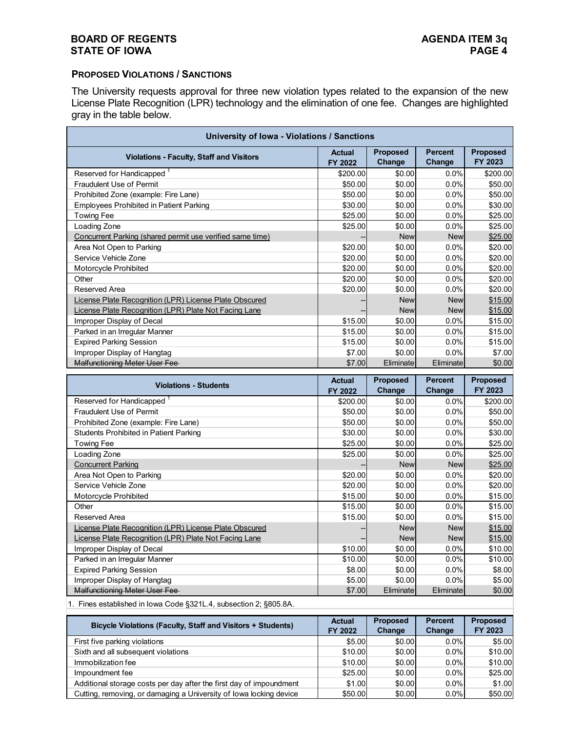#### **BOARD OF REGENTS**<br> **BOARD OF REGENTS**<br> **BOARD OF IOWA**<br>
PAGE 4 **STATE OF IOWA**

#### **PROPOSED VIOLATIONS / SANCTIONS**

The University requests approval for three new violation types related to the expansion of the new License Plate Recognition (LPR) technology and the elimination of one fee. Changes are highlighted gray in the table below.

| University of Iowa - Violations / Sanctions                         |                          |                     |                          |                            |  |  |  |
|---------------------------------------------------------------------|--------------------------|---------------------|--------------------------|----------------------------|--|--|--|
| <b>Violations - Faculty, Staff and Visitors</b>                     | <b>Actual</b><br>FY 2022 | Proposed<br>Change  | <b>Percent</b><br>Change | <b>Proposed</b><br>FY 2023 |  |  |  |
| Reserved for Handicapped                                            | \$200.00                 | \$0.00              | 0.0%                     | \$200.00                   |  |  |  |
| Fraudulent Use of Permit                                            | \$50.00                  | \$0.00              | 0.0%                     | \$50.00                    |  |  |  |
| Prohibited Zone (example: Fire Lane)                                | \$50.00                  | \$0.00              | 0.0%                     | \$50.00                    |  |  |  |
| <b>Employees Prohibited in Patient Parking</b>                      | \$30.00                  | \$0.00              | 0.0%                     | \$30.00                    |  |  |  |
| Towing Fee                                                          | \$25.00                  | \$0.00              | 0.0%                     | \$25.00                    |  |  |  |
| Loading Zone                                                        | \$25.00                  | \$0.00              | 0.0%                     | \$25.00                    |  |  |  |
| Concurrent Parking (shared permit use verified same time)           |                          | <b>New</b>          | <b>New</b>               | \$25.00                    |  |  |  |
| Area Not Open to Parking                                            | \$20.00                  | \$0.00              | 0.0%                     | \$20.00                    |  |  |  |
| Service Vehicle Zone                                                | \$20.00                  | \$0.00              | 0.0%                     | \$20.00                    |  |  |  |
| Motorcycle Prohibited                                               | \$20.00                  | \$0.00              | 0.0%                     | \$20.00                    |  |  |  |
| Other                                                               | \$20.00                  | \$0.00              | 0.0%                     | \$20.00                    |  |  |  |
| <b>Reserved Area</b>                                                | \$20.00                  | \$0.00              | 0.0%                     | \$20.00                    |  |  |  |
| License Plate Recognition (LPR) License Plate Obscured              |                          | <b>New</b>          | <b>New</b>               | \$15.00                    |  |  |  |
| License Plate Recognition (LPR) Plate Not Facing Lane               |                          | <b>New</b>          | <b>New</b>               | \$15.00                    |  |  |  |
| Improper Display of Decal                                           | \$15.00                  | \$0.00              | 0.0%                     | \$15.00                    |  |  |  |
| Parked in an Irregular Manner                                       | \$15.00                  | \$0.00              | 0.0%                     | \$15.00                    |  |  |  |
| <b>Expired Parking Session</b>                                      | \$15.00                  | \$0.00              | 0.0%                     | \$15.00                    |  |  |  |
| Improper Display of Hangtag                                         | \$7.00                   | \$0.00              | 0.0%                     | \$7.00                     |  |  |  |
| <b>Malfunctioning Meter User Fee</b>                                | \$7.00                   | Eliminate           | Eliminate                | \$0.00                     |  |  |  |
|                                                                     |                          |                     |                          |                            |  |  |  |
|                                                                     |                          |                     |                          |                            |  |  |  |
| <b>Violations - Students</b>                                        | <b>Actual</b>            | Proposed            | <b>Percent</b>           | Proposed                   |  |  |  |
|                                                                     | FY 2022                  | Change              | Change                   | FY 2023                    |  |  |  |
| Reserved for Handicapped <sup>1</sup>                               | \$200.00                 | \$0.00              | 0.0%                     | \$200.00                   |  |  |  |
| <b>Fraudulent Use of Permit</b>                                     | \$50.00                  | \$0.00              | 0.0%                     | \$50.00                    |  |  |  |
| Prohibited Zone (example: Fire Lane)                                | \$50.00                  | \$0.00              | 0.0%                     | \$50.00                    |  |  |  |
| <b>Students Prohibited in Patient Parking</b>                       | \$30.00                  | \$0.00              | 0.0%                     | \$30.00                    |  |  |  |
| <b>Towing Fee</b>                                                   | \$25.00                  | \$0.00              | 0.0%                     | \$25.00                    |  |  |  |
| Loading Zone                                                        | \$25.00                  | \$0.00              | 0.0%                     | \$25.00                    |  |  |  |
| <b>Concurrent Parking</b>                                           |                          | <b>New</b>          | <b>New</b>               | \$25.00                    |  |  |  |
| Area Not Open to Parking                                            | \$20.00                  | \$0.00              | 0.0%                     | \$20.00                    |  |  |  |
| Service Vehicle Zone                                                | \$20.00                  | \$0.00              | 0.0%                     | \$20.00                    |  |  |  |
| Motorcycle Prohibited                                               | \$15.00                  | \$0.00              | 0.0%                     | \$15.00                    |  |  |  |
| Other                                                               | \$15.00                  | \$0.00              | 0.0%                     | \$15.00                    |  |  |  |
| <b>Reserved Area</b>                                                | \$15.00                  | \$0.00              | 0.0%                     | \$15.00                    |  |  |  |
| License Plate Recognition (LPR) License Plate Obscured              |                          | <b>New</b>          | <b>New</b>               | \$15.00                    |  |  |  |
| License Plate Recognition (LPR) Plate Not Facing Lane               |                          | <b>New</b>          | <b>New</b>               | \$15.00                    |  |  |  |
| Improper Display of Decal                                           | \$10.00                  | \$0.00              | 0.0%                     | \$10.00                    |  |  |  |
| Parked in an Irregular Manner                                       | \$10.00                  | \$0.00              | 0.0%                     | \$10.00                    |  |  |  |
| <b>Expired Parking Session</b>                                      | \$8.00                   | \$0.00              | 0.0%                     | \$8.00                     |  |  |  |
| Improper Display of Hangtag<br><b>Malfunctioning Meter User Fee</b> | \$5.00<br>\$7.00         | \$0.00<br>Eliminate | 0.0%<br>Eliminate        | \$5.00<br>\$0.00           |  |  |  |

1. Fines established in Iowa Code §321L.4, subsection 2; §805.8A.

| Bicycle Violations (Faculty, Staff and Visitors + Students)         | <b>Actual</b><br>FY 2022 | <b>Proposed</b><br>Change | <b>Percent</b><br>Change | <b>Proposed</b><br>FY 2023 |
|---------------------------------------------------------------------|--------------------------|---------------------------|--------------------------|----------------------------|
| First five parking violations                                       | \$5.00                   | \$0.00                    | $0.0\%$                  | \$5.00                     |
| Sixth and all subsequent violations                                 | \$10.00                  | \$0.00                    | $0.0\%$                  | \$10.00                    |
| Immobilization fee                                                  | \$10.00                  | \$0.00                    | $0.0\%$                  | \$10.00                    |
| Impoundment fee                                                     | \$25.00                  | \$0.00                    | $0.0\%$                  | \$25.00                    |
| Additional storage costs per day after the first day of impoundment | \$1.00                   | \$0.00                    | $0.0\%$                  | \$1.00                     |
| Cutting, removing, or damaging a University of Iowa locking device  | \$50.00                  | \$0.00                    | $0.0\%$                  | \$50.00                    |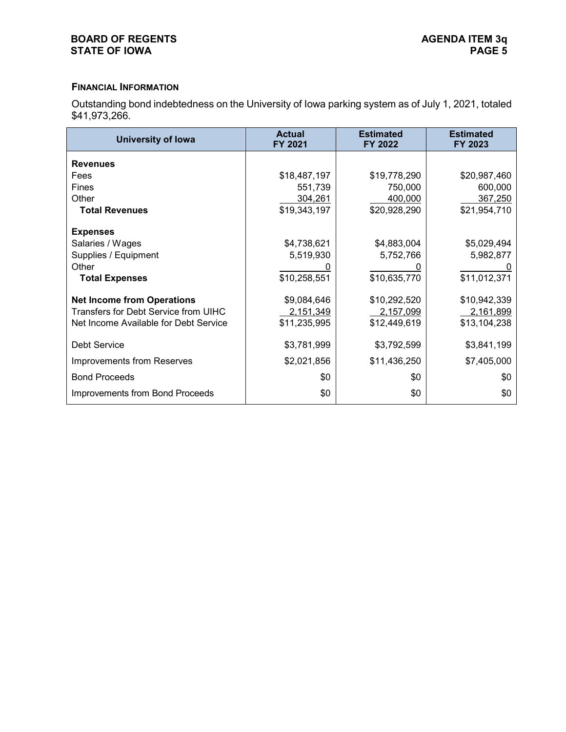## **BOARD OF REGENTS**<br> **BOARD OF REGENTS**<br> **BOARD OF IOWA**<br>
PAGE 5 **STATE OF IOWA**

## **FINANCIAL INFORMATION**

Outstanding bond indebtedness on the University of Iowa parking system as of July 1, 2021, totaled \$41,973,266.

| <b>University of lowa</b>             | <b>Actual</b><br>FY 2021 | <b>Estimated</b><br>FY 2022 | <b>Estimated</b><br>FY 2023 |
|---------------------------------------|--------------------------|-----------------------------|-----------------------------|
| <b>Revenues</b>                       |                          |                             |                             |
| Fees                                  | \$18,487,197             | \$19,778,290                | \$20,987,460                |
| <b>Fines</b>                          | 551,739                  | 750,000                     | 600,000                     |
| Other                                 | 304,261                  | 400,000                     | 367,250                     |
| <b>Total Revenues</b>                 | \$19,343,197             | \$20,928,290                | \$21,954,710                |
| <b>Expenses</b>                       |                          |                             |                             |
| Salaries / Wages                      | \$4,738,621              | \$4,883,004                 | \$5,029,494                 |
| Supplies / Equipment                  | 5,519,930                | 5,752,766                   | 5,982,877                   |
| Other                                 |                          |                             |                             |
| <b>Total Expenses</b>                 | \$10,258,551             | \$10,635,770                | \$11,012,371                |
| <b>Net Income from Operations</b>     | \$9,084,646              | \$10,292,520                | \$10,942,339                |
| Transfers for Debt Service from UIHC  | 2,151,349                | 2,157,099                   | 2,161,899                   |
| Net Income Available for Debt Service | \$11,235,995             | \$12,449,619                | \$13,104,238                |
| <b>Debt Service</b>                   | \$3,781,999              | \$3,792,599                 | \$3,841,199                 |
| <b>Improvements from Reserves</b>     | \$2,021,856              | \$11,436,250                | \$7,405,000                 |
| <b>Bond Proceeds</b>                  | \$0                      | \$0                         | \$0                         |
| Improvements from Bond Proceeds       | \$0                      | \$0                         | \$0                         |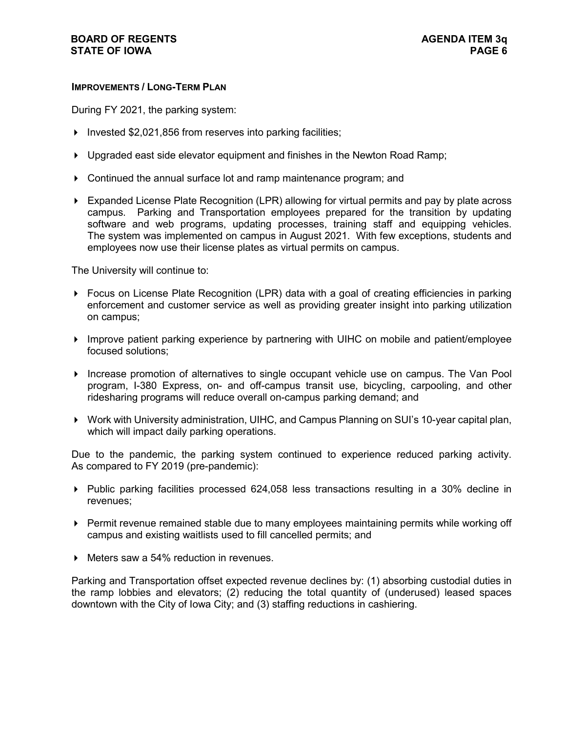#### **IMPROVEMENTS / LONG-TERM PLAN**

During FY 2021, the parking system:

- Invested \$2,021,856 from reserves into parking facilities;
- ▶ Upgraded east side elevator equipment and finishes in the Newton Road Ramp;
- Continued the annual surface lot and ramp maintenance program; and
- Expanded License Plate Recognition (LPR) allowing for virtual permits and pay by plate across campus. Parking and Transportation employees prepared for the transition by updating software and web programs, updating processes, training staff and equipping vehicles. The system was implemented on campus in August 2021. With few exceptions, students and employees now use their license plates as virtual permits on campus.

The University will continue to:

- ▶ Focus on License Plate Recognition (LPR) data with a goal of creating efficiencies in parking enforcement and customer service as well as providing greater insight into parking utilization on campus;
- Improve patient parking experience by partnering with UIHC on mobile and patient/employee focused solutions;
- Increase promotion of alternatives to single occupant vehicle use on campus. The Van Pool program, I-380 Express, on- and off-campus transit use, bicycling, carpooling, and other ridesharing programs will reduce overall on-campus parking demand; and
- Work with University administration, UIHC, and Campus Planning on SUI's 10-year capital plan, which will impact daily parking operations.

Due to the pandemic, the parking system continued to experience reduced parking activity. As compared to FY 2019 (pre-pandemic):

- $\blacktriangleright$  Public parking facilities processed 624,058 less transactions resulting in a 30% decline in revenues;
- Permit revenue remained stable due to many employees maintaining permits while working off campus and existing waitlists used to fill cancelled permits; and
- ▶ Meters saw a 54% reduction in revenues.

Parking and Transportation offset expected revenue declines by: (1) absorbing custodial duties in the ramp lobbies and elevators; (2) reducing the total quantity of (underused) leased spaces downtown with the City of Iowa City; and (3) staffing reductions in cashiering.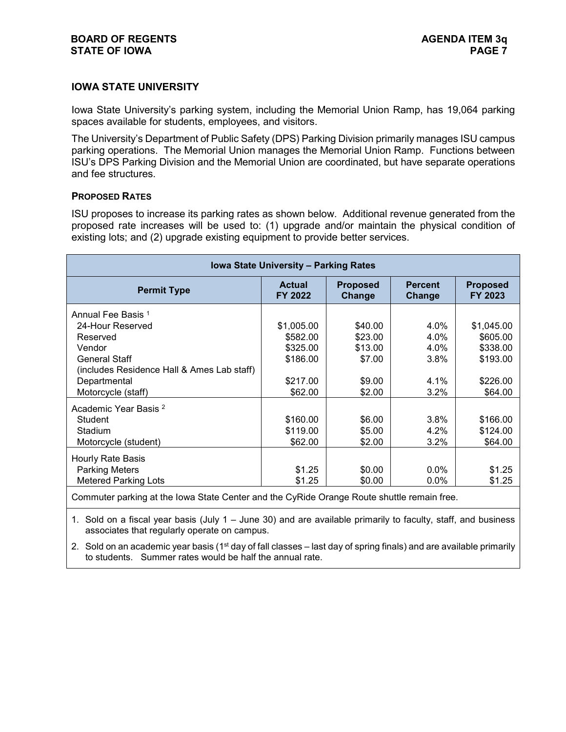# **IOWA STATE UNIVERSITY**

Iowa State University's parking system, including the Memorial Union Ramp, has 19,064 parking spaces available for students, employees, and visitors.

The University's Department of Public Safety (DPS) Parking Division primarily manages ISU campus parking operations. The Memorial Union manages the Memorial Union Ramp. Functions between ISU's DPS Parking Division and the Memorial Union are coordinated, but have separate operations and fee structures.

#### **PROPOSED RATES**

ISU proposes to increase its parking rates as shown below. Additional revenue generated from the proposed rate increases will be used to: (1) upgrade and/or maintain the physical condition of existing lots; and (2) upgrade existing equipment to provide better services.

| Iowa State University - Parking Rates                                                       |                          |                           |                          |                            |  |  |  |
|---------------------------------------------------------------------------------------------|--------------------------|---------------------------|--------------------------|----------------------------|--|--|--|
| <b>Permit Type</b>                                                                          | <b>Actual</b><br>FY 2022 | <b>Proposed</b><br>Change | <b>Percent</b><br>Change | <b>Proposed</b><br>FY 2023 |  |  |  |
| Annual Fee Basis 1                                                                          |                          |                           |                          |                            |  |  |  |
| 24-Hour Reserved                                                                            | \$1,005.00               | \$40.00                   | 4.0%                     | \$1,045.00                 |  |  |  |
| Reserved                                                                                    | \$582.00                 | \$23.00                   | 4.0%                     | \$605.00                   |  |  |  |
| Vendor                                                                                      | \$325.00                 | \$13.00                   | 4.0%                     | \$338.00                   |  |  |  |
| <b>General Staff</b>                                                                        | \$186.00                 | \$7.00                    | $3.8\%$                  | \$193.00                   |  |  |  |
| (includes Residence Hall & Ames Lab staff)                                                  |                          |                           |                          |                            |  |  |  |
| Departmental                                                                                | \$217.00                 | \$9.00                    | 4.1%                     | \$226.00                   |  |  |  |
| Motorcycle (staff)                                                                          | \$62.00                  | \$2.00                    | $3.2\%$                  | \$64.00                    |  |  |  |
| Academic Year Basis <sup>2</sup>                                                            |                          |                           |                          |                            |  |  |  |
| Student                                                                                     | \$160.00                 | \$6.00                    | 3.8%                     | \$166.00                   |  |  |  |
| Stadium                                                                                     | \$119.00                 | \$5.00                    | 4.2%                     | \$124.00                   |  |  |  |
| Motorcycle (student)                                                                        | \$62.00                  | \$2.00                    | 3.2%                     | \$64.00                    |  |  |  |
| Hourly Rate Basis                                                                           |                          |                           |                          |                            |  |  |  |
| <b>Parking Meters</b>                                                                       | \$1.25                   | \$0.00                    | $0.0\%$                  | \$1.25                     |  |  |  |
| <b>Metered Parking Lots</b>                                                                 | \$1.25                   | \$0.00                    | $0.0\%$                  | \$1.25                     |  |  |  |
| Commuter residing at the Jaune Otate Center and the OuDide Oxense Deute abuttle remain from |                          |                           |                          |                            |  |  |  |

Commuter parking at the Iowa State Center and the CyRide Orange Route shuttle remain free.

1. Sold on a fiscal year basis (July 1 – June 30) and are available primarily to faculty, staff, and business associates that regularly operate on campus.

2. Sold on an academic year basis ( $1<sup>st</sup>$  day of fall classes – last day of spring finals) and are available primarily to students. Summer rates would be half the annual rate.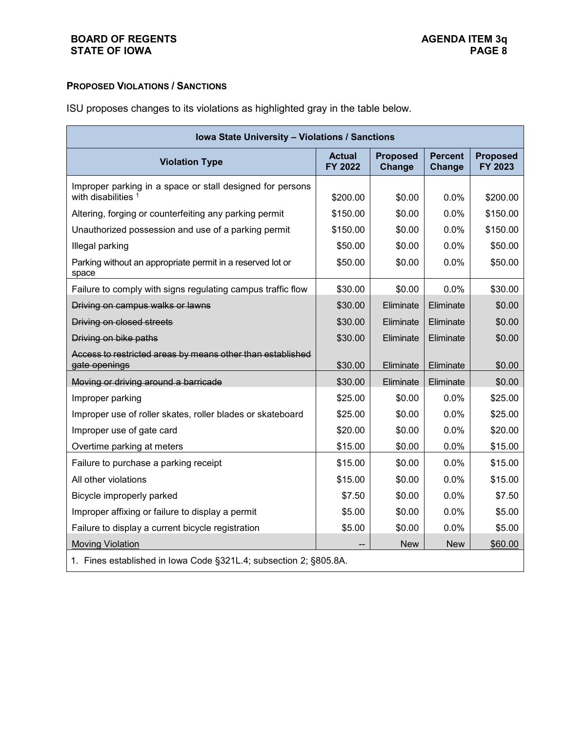# **PROPOSED VIOLATIONS / SANCTIONS**

ISU proposes changes to its violations as highlighted gray in the table below.

| Iowa State University - Violations / Sanctions                                   |                          |                           |                          |                            |  |  |
|----------------------------------------------------------------------------------|--------------------------|---------------------------|--------------------------|----------------------------|--|--|
| <b>Violation Type</b>                                                            | <b>Actual</b><br>FY 2022 | <b>Proposed</b><br>Change | <b>Percent</b><br>Change | <b>Proposed</b><br>FY 2023 |  |  |
| Improper parking in a space or stall designed for persons<br>with disabilities 1 | \$200.00                 | \$0.00                    | 0.0%                     | \$200.00                   |  |  |
| Altering, forging or counterfeiting any parking permit                           | \$150.00                 | \$0.00                    | 0.0%                     | \$150.00                   |  |  |
| Unauthorized possession and use of a parking permit                              | \$150.00                 | \$0.00                    | 0.0%                     | \$150.00                   |  |  |
| Illegal parking                                                                  | \$50.00                  | \$0.00                    | 0.0%                     | \$50.00                    |  |  |
| Parking without an appropriate permit in a reserved lot or<br>space              | \$50.00                  | \$0.00                    | 0.0%                     | \$50.00                    |  |  |
| Failure to comply with signs regulating campus traffic flow                      | \$30.00                  | \$0.00                    | 0.0%                     | \$30.00                    |  |  |
| Driving on campus walks or lawns                                                 | \$30.00                  | Eliminate                 | Eliminate                | \$0.00                     |  |  |
| Driving on closed streets                                                        | \$30.00                  | Eliminate                 | Eliminate                | \$0.00                     |  |  |
| Driving on bike paths                                                            | \$30.00                  | Eliminate                 | Eliminate                | \$0.00                     |  |  |
| Access to restricted areas by means other than established<br>gate openings      | \$30.00                  | Eliminate                 | Eliminate                | \$0.00                     |  |  |
| Moving or driving around a barricade                                             | \$30.00                  | Eliminate                 | Eliminate                | \$0.00                     |  |  |
| Improper parking                                                                 | \$25.00                  | \$0.00                    | 0.0%                     | \$25.00                    |  |  |
| Improper use of roller skates, roller blades or skateboard                       | \$25.00                  | \$0.00                    | 0.0%                     | \$25.00                    |  |  |
| Improper use of gate card                                                        | \$20.00                  | \$0.00                    | 0.0%                     | \$20.00                    |  |  |
| Overtime parking at meters                                                       | \$15.00                  | \$0.00                    | 0.0%                     | \$15.00                    |  |  |
| Failure to purchase a parking receipt                                            | \$15.00                  | \$0.00                    | 0.0%                     | \$15.00                    |  |  |
| All other violations                                                             | \$15.00                  | \$0.00                    | 0.0%                     | \$15.00                    |  |  |
| Bicycle improperly parked                                                        | \$7.50                   | \$0.00                    | 0.0%                     | \$7.50                     |  |  |
| Improper affixing or failure to display a permit                                 | \$5.00                   | \$0.00                    | 0.0%                     | \$5.00                     |  |  |
| Failure to display a current bicycle registration                                | \$5.00                   | \$0.00                    | 0.0%                     | \$5.00                     |  |  |
| <b>Moving Violation</b>                                                          |                          | <b>New</b>                | <b>New</b>               | \$60.00                    |  |  |
| 1. Fines established in Iowa Code §321L.4; subsection 2; §805.8A.                |                          |                           |                          |                            |  |  |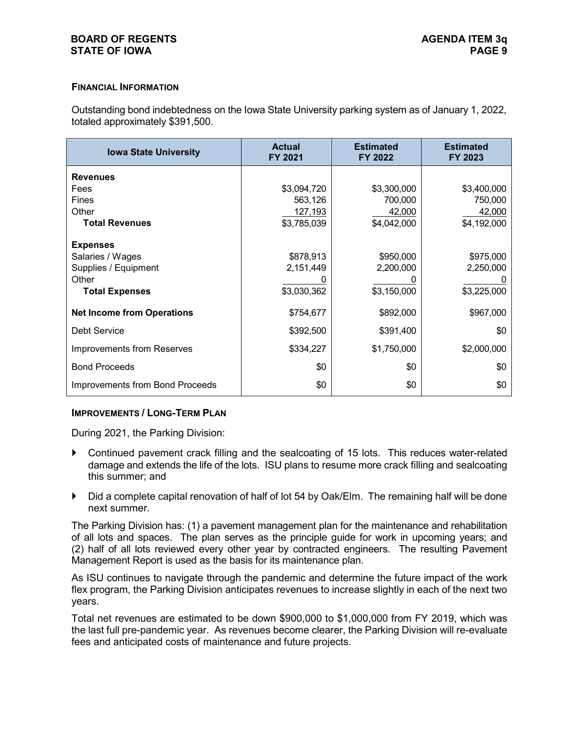#### **BOARD OF REGENTS AGENDA ITEM 3q STATE OF IOWA**

#### **FINANCIAL INFORMATION**

Outstanding bond indebtedness on the Iowa State University parking system as of January 1, 2022, totaled approximately \$391,500.

| <b>Iowa State University</b>           | <b>Actual</b><br>FY 2021 | <b>Estimated</b><br>FY 2022 | <b>Estimated</b><br>FY 2023 |
|----------------------------------------|--------------------------|-----------------------------|-----------------------------|
| <b>Revenues</b>                        |                          |                             |                             |
| Fees                                   | \$3,094,720              | \$3,300,000                 | \$3,400,000                 |
| Fines                                  | 563,126                  | 700,000                     | 750,000                     |
| Other                                  | 127,193                  | 42,000                      | 42,000                      |
| <b>Total Revenues</b>                  | \$3,785,039              | \$4,042,000                 | \$4,192,000                 |
| <b>Expenses</b>                        |                          |                             |                             |
| Salaries / Wages                       | \$878,913                | \$950,000                   | \$975,000                   |
| Supplies / Equipment                   | 2,151,449                | 2,200,000                   | 2,250,000                   |
| Other                                  |                          |                             |                             |
| <b>Total Expenses</b>                  | \$3,030,362              | \$3,150,000                 | \$3,225,000                 |
| <b>Net Income from Operations</b>      | \$754,677                | \$892,000                   | \$967,000                   |
| <b>Debt Service</b>                    | \$392,500                | \$391,400                   | \$0                         |
| <b>Improvements from Reserves</b>      | \$334,227                | \$1,750,000                 | \$2,000,000                 |
| <b>Bond Proceeds</b>                   | \$0                      | \$0                         | \$0                         |
| <b>Improvements from Bond Proceeds</b> | \$0                      | \$0                         | \$0                         |

#### **IMPROVEMENTS / LONG-TERM PLAN**

During 2021, the Parking Division:

- Continued pavement crack filling and the sealcoating of 15 lots. This reduces water-related damage and extends the life of the lots. ISU plans to resume more crack filling and sealcoating this summer; and
- Did a complete capital renovation of half of lot 54 by Oak/Elm. The remaining half will be done next summer.

The Parking Division has: (1) a pavement management plan for the maintenance and rehabilitation of all lots and spaces. The plan serves as the principle guide for work in upcoming years; and (2) half of all lots reviewed every other year by contracted engineers. The resulting Pavement Management Report is used as the basis for its maintenance plan.

As ISU continues to navigate through the pandemic and determine the future impact of the work flex program, the Parking Division anticipates revenues to increase slightly in each of the next two years.

Total net revenues are estimated to be down \$900,000 to \$1,000,000 from FY 2019, which was the last full pre-pandemic year. As revenues become clearer, the Parking Division will re-evaluate fees and anticipated costs of maintenance and future projects.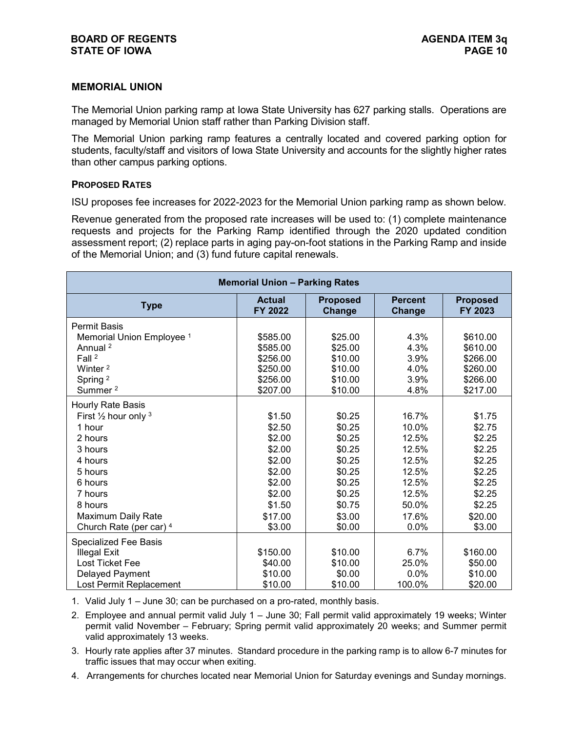#### **MEMORIAL UNION**

The Memorial Union parking ramp at Iowa State University has 627 parking stalls. Operations are managed by Memorial Union staff rather than Parking Division staff.

The Memorial Union parking ramp features a centrally located and covered parking option for students, faculty/staff and visitors of Iowa State University and accounts for the slightly higher rates than other campus parking options.

#### **PROPOSED RATES**

ISU proposes fee increases for 2022-2023 for the Memorial Union parking ramp as shown below.

Revenue generated from the proposed rate increases will be used to: (1) complete maintenance requests and projects for the Parking Ramp identified through the 2020 updated condition assessment report; (2) replace parts in aging pay-on-foot stations in the Parking Ramp and inside of the Memorial Union; and (3) fund future capital renewals.

| <b>Memorial Union - Parking Rates</b> |                          |                           |                          |                            |  |
|---------------------------------------|--------------------------|---------------------------|--------------------------|----------------------------|--|
| <b>Type</b>                           | <b>Actual</b><br>FY 2022 | <b>Proposed</b><br>Change | <b>Percent</b><br>Change | <b>Proposed</b><br>FY 2023 |  |
| <b>Permit Basis</b>                   |                          |                           |                          |                            |  |
| Memorial Union Employee <sup>1</sup>  | \$585.00                 | \$25.00                   | 4.3%                     | \$610.00                   |  |
| Annual <sup>2</sup>                   | \$585.00                 | \$25.00                   | 4.3%                     | \$610.00                   |  |
| Fall <sup>2</sup>                     | \$256.00                 | \$10.00                   | 3.9%                     | \$266.00                   |  |
| Winter <sup>2</sup>                   | \$250.00                 | \$10.00                   | 4.0%                     | \$260.00                   |  |
| Spring <sup>2</sup>                   | \$256.00                 | \$10.00                   | 3.9%                     | \$266.00                   |  |
| Summer <sup>2</sup>                   | \$207.00                 | \$10.00                   | 4.8%                     | \$217.00                   |  |
| Hourly Rate Basis                     |                          |                           |                          |                            |  |
| First $\frac{1}{2}$ hour only $3$     | \$1.50                   | \$0.25                    | 16.7%                    | \$1.75                     |  |
| 1 hour                                | \$2.50                   | \$0.25                    | 10.0%                    | \$2.75                     |  |
| 2 hours                               | \$2.00                   | \$0.25                    | 12.5%                    | \$2.25                     |  |
| 3 hours                               | \$2.00                   | \$0.25                    | 12.5%                    | \$2.25                     |  |
| 4 hours                               | \$2.00                   | \$0.25                    | 12.5%                    | \$2.25                     |  |
| 5 hours                               | \$2.00                   | \$0.25                    | 12.5%                    | \$2.25                     |  |
| 6 hours                               | \$2.00                   | \$0.25                    | 12.5%                    | \$2.25                     |  |
| 7 hours                               | \$2.00                   | \$0.25                    | 12.5%                    | \$2.25                     |  |
| 8 hours                               | \$1.50                   | \$0.75                    | 50.0%                    | \$2.25                     |  |
| Maximum Daily Rate                    | \$17.00                  | \$3.00                    | 17.6%                    | \$20.00                    |  |
| Church Rate (per car) 4               | \$3.00                   | \$0.00                    | 0.0%                     | \$3.00                     |  |
| Specialized Fee Basis                 |                          |                           |                          |                            |  |
| <b>Illegal Exit</b>                   | \$150.00                 | \$10.00                   | 6.7%                     | \$160.00                   |  |
| Lost Ticket Fee                       | \$40.00                  | \$10.00                   | 25.0%                    | \$50.00                    |  |
| Delayed Payment                       | \$10.00                  | \$0.00                    | 0.0%                     | \$10.00                    |  |
| Lost Permit Replacement               | \$10.00                  | \$10.00                   | 100.0%                   | \$20.00                    |  |

1. Valid July 1 – June 30; can be purchased on a pro-rated, monthly basis.

2. Employee and annual permit valid July 1 – June 30; Fall permit valid approximately 19 weeks; Winter permit valid November – February; Spring permit valid approximately 20 weeks; and Summer permit valid approximately 13 weeks.

3. Hourly rate applies after 37 minutes. Standard procedure in the parking ramp is to allow 6-7 minutes for traffic issues that may occur when exiting.

4. Arrangements for churches located near Memorial Union for Saturday evenings and Sunday mornings.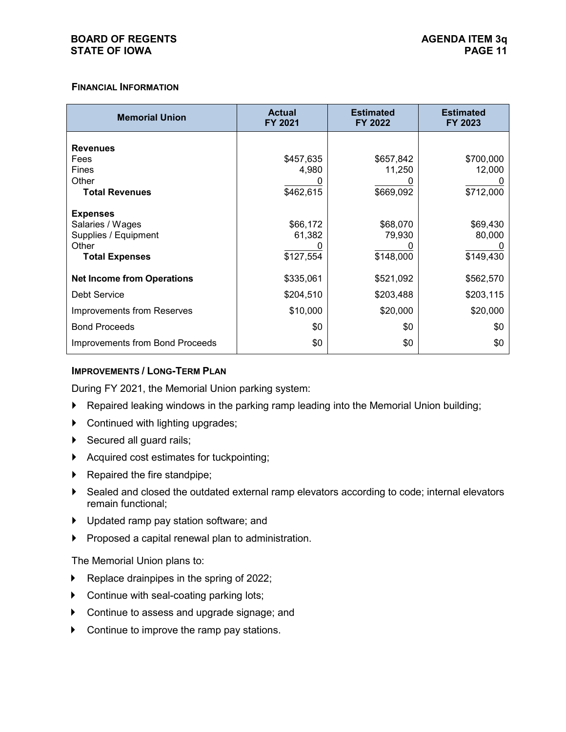#### **FINANCIAL INFORMATION**

| <b>Memorial Union</b>                  | <b>Actual</b><br><b>FY 2021</b> | <b>Estimated</b><br>FY 2022 | <b>Estimated</b><br>FY 2023 |
|----------------------------------------|---------------------------------|-----------------------------|-----------------------------|
| <b>Revenues</b>                        |                                 |                             |                             |
| Fees                                   | \$457,635                       | \$657,842                   | \$700,000                   |
| Fines                                  | 4,980                           | 11,250                      | 12,000                      |
| Other                                  |                                 |                             |                             |
| <b>Total Revenues</b>                  | \$462,615                       | \$669,092                   | \$712,000                   |
| <b>Expenses</b>                        |                                 |                             |                             |
| Salaries / Wages                       | \$66,172                        | \$68,070                    | \$69,430                    |
| Supplies / Equipment                   | 61,382                          | 79,930                      | 80,000                      |
| Other                                  |                                 |                             |                             |
| <b>Total Expenses</b>                  | \$127,554                       | \$148,000                   | \$149,430                   |
| <b>Net Income from Operations</b>      | \$335,061                       | \$521,092                   | \$562,570                   |
| Debt Service                           | \$204,510                       | \$203,488                   | \$203,115                   |
| Improvements from Reserves             | \$10,000                        | \$20,000                    | \$20,000                    |
| <b>Bond Proceeds</b>                   | \$0                             | \$0                         | \$0                         |
| <b>Improvements from Bond Proceeds</b> | \$0                             | \$0                         | \$0                         |

#### **IMPROVEMENTS / LONG-TERM PLAN**

During FY 2021, the Memorial Union parking system:

- Repaired leaking windows in the parking ramp leading into the Memorial Union building;
- ▶ Continued with lighting upgrades;
- Secured all guard rails;
- Acquired cost estimates for tuckpointing;
- $\blacktriangleright$  Repaired the fire standpipe;
- Sealed and closed the outdated external ramp elevators according to code; internal elevators remain functional;
- Updated ramp pay station software; and
- Proposed a capital renewal plan to administration.

The Memorial Union plans to:

- $\blacktriangleright$  Replace drainpipes in the spring of 2022;
- **Continue with seal-coating parking lots;**
- ▶ Continue to assess and upgrade signage; and
- ▶ Continue to improve the ramp pay stations.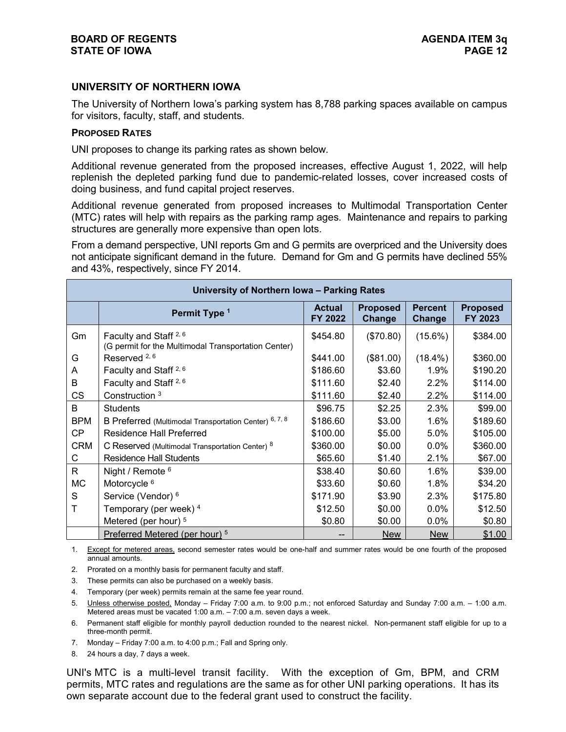#### **UNIVERSITY OF NORTHERN IOWA**

The University of Northern Iowa's parking system has 8,788 parking spaces available on campus for visitors, faculty, staff, and students.

#### **PROPOSED RATES**

UNI proposes to change its parking rates as shown below.

Additional revenue generated from the proposed increases, effective August 1, 2022, will help replenish the depleted parking fund due to pandemic-related losses, cover increased costs of doing business, and fund capital project reserves.

Additional revenue generated from proposed increases to Multimodal Transportation Center (MTC) rates will help with repairs as the parking ramp ages. Maintenance and repairs to parking structures are generally more expensive than open lots.

From a demand perspective, UNI reports Gm and G permits are overpriced and the University does not anticipate significant demand in the future. Demand for Gm and G permits have declined 55% and 43%, respectively, since FY 2014.

|            | University of Northern Iowa - Parking Rates                                              |                          |                           |                          |                            |  |  |  |
|------------|------------------------------------------------------------------------------------------|--------------------------|---------------------------|--------------------------|----------------------------|--|--|--|
|            | Permit Type <sup>1</sup>                                                                 | <b>Actual</b><br>FY 2022 | <b>Proposed</b><br>Change | <b>Percent</b><br>Change | <b>Proposed</b><br>FY 2023 |  |  |  |
| Gm         | Faculty and Staff <sup>2, 6</sup><br>(G permit for the Multimodal Transportation Center) | \$454.80                 | (\$70.80)                 | $(15.6\%)$               | \$384.00                   |  |  |  |
| G          | Reserved <sup>2,6</sup>                                                                  | \$441.00                 | (\$81.00)                 | $(18.4\%)$               | \$360.00                   |  |  |  |
| A          | Faculty and Staff <sup>2,6</sup>                                                         | \$186.60                 | \$3.60                    | 1.9%                     | \$190.20                   |  |  |  |
| В          | Faculty and Staff <sup>2, 6</sup>                                                        | \$111.60                 | \$2.40                    | 2.2%                     | \$114.00                   |  |  |  |
| <b>CS</b>  | Construction 3                                                                           | \$111.60                 | \$2.40                    | 2.2%                     | \$114.00                   |  |  |  |
| B          | <b>Students</b>                                                                          | \$96.75                  | \$2.25                    | 2.3%                     | \$99.00                    |  |  |  |
| <b>BPM</b> | B Preferred (Multimodal Transportation Center) 6, 7, 8                                   | \$186.60                 | \$3.00                    | 1.6%                     | \$189.60                   |  |  |  |
| <b>CP</b>  | <b>Residence Hall Preferred</b>                                                          | \$100.00                 | \$5.00                    | 5.0%                     | \$105.00                   |  |  |  |
| <b>CRM</b> | C Reserved (Multimodal Transportation Center) 8                                          | \$360.00                 | \$0.00                    | $0.0\%$                  | \$360.00                   |  |  |  |
| С          | Residence Hall Students                                                                  | \$65.60                  | \$1.40                    | 2.1%                     | \$67.00                    |  |  |  |
| R          | Night / Remote $6$                                                                       | \$38.40                  | \$0.60                    | 1.6%                     | \$39.00                    |  |  |  |
| <b>MC</b>  | Motorcycle <sup>6</sup>                                                                  | \$33.60                  | \$0.60                    | 1.8%                     | \$34.20                    |  |  |  |
| S          | Service (Vendor) <sup>6</sup>                                                            | \$171.90                 | \$3.90                    | 2.3%                     | \$175.80                   |  |  |  |
|            | Temporary (per week) 4                                                                   | \$12.50                  | \$0.00                    | 0.0%                     | \$12.50                    |  |  |  |
|            | Metered (per hour) <sup>5</sup>                                                          | \$0.80                   | \$0.00                    | 0.0%                     | \$0.80                     |  |  |  |
|            | Preferred Metered (per hour) <sup>5</sup>                                                |                          | <b>New</b>                | <b>New</b>               | \$1.00                     |  |  |  |

1. Except for metered areas, second semester rates would be one-half and summer rates would be one fourth of the proposed annual amounts.

2. Prorated on a monthly basis for permanent faculty and staff.

3. These permits can also be purchased on a weekly basis.

4. Temporary (per week) permits remain at the same fee year round.

5. Unless otherwise posted, Monday – Friday 7:00 a.m. to 9:00 p.m.; not enforced Saturday and Sunday 7:00 a.m. – 1:00 a.m. Metered areas must be vacated 1:00 a.m. – 7:00 a.m. seven days a week.

6. Permanent staff eligible for monthly payroll deduction rounded to the nearest nickel. Non-permanent staff eligible for up to a three-month permit.

7. Monday – Friday 7:00 a.m. to 4:00 p.m.; Fall and Spring only.

8. 24 hours a day, 7 days a week.

UNI's MTC is a multi-level transit facility. With the exception of Gm, BPM, and CRM permits, MTC rates and regulations are the same as for other UNI parking operations. It has its own separate account due to the federal grant used to construct the facility.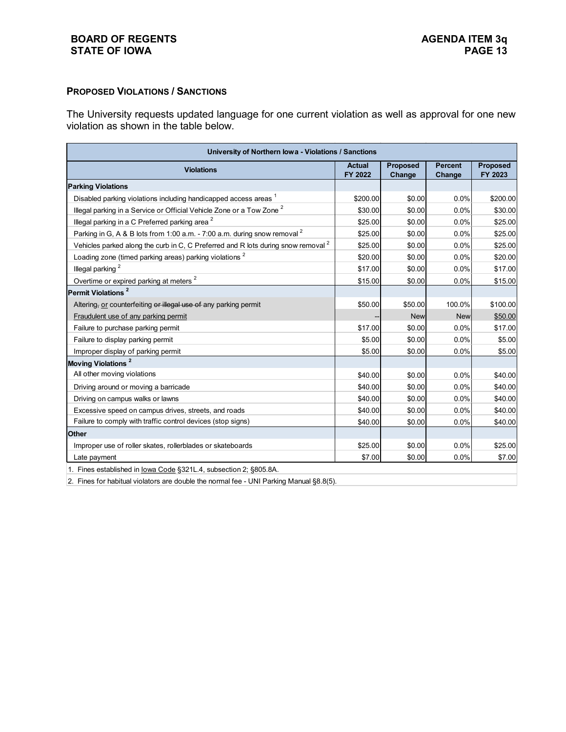#### **BOARD OF REGENTS**<br> **BOARD OF REGENTS**<br> **BOARD OF IOWA**<br>
PAGE 13 **STATE OF IOWA**

#### **PROPOSED VIOLATIONS / SANCTIONS**

The University requests updated language for one current violation as well as approval for one new violation as shown in the table below.

| University of Northern Iowa - Violations / Sanctions                                         |                          |                    |                          |                            |  |  |
|----------------------------------------------------------------------------------------------|--------------------------|--------------------|--------------------------|----------------------------|--|--|
| <b>Violations</b>                                                                            | <b>Actual</b><br>FY 2022 | Proposed<br>Change | <b>Percent</b><br>Change | <b>Proposed</b><br>FY 2023 |  |  |
| <b>Parking Violations</b>                                                                    |                          |                    |                          |                            |  |  |
| Disabled parking violations including handicapped access areas 1                             | \$200.00                 | \$0.00             | 0.0%                     | \$200.00                   |  |  |
| Illegal parking in a Service or Official Vehicle Zone or a Tow Zone <sup>2</sup>             | \$30.00                  | \$0.00             | 0.0%                     | \$30.00                    |  |  |
| Illegal parking in a C Preferred parking area <sup>2</sup>                                   | \$25.00                  | \$0.00             | 0.0%                     | \$25.00                    |  |  |
| Parking in G, A & B lots from 1:00 a.m. - 7:00 a.m. during snow removal <sup>2</sup>         | \$25.00                  | \$0.00             | 0.0%                     | \$25.00                    |  |  |
| Vehicles parked along the curb in C, C Preferred and R lots during snow removal <sup>2</sup> | \$25.00                  | \$0.00             | 0.0%                     | \$25.00                    |  |  |
| Loading zone (timed parking areas) parking violations <sup>2</sup>                           | \$20.00                  | \$0.00             | 0.0%                     | \$20.00                    |  |  |
| Illegal parking <sup>2</sup>                                                                 | \$17.00                  | \$0.00             | 0.0%                     | \$17.00                    |  |  |
| Overtime or expired parking at meters <sup>2</sup>                                           | \$15.00                  | \$0.00             | 0.0%                     | \$15.00                    |  |  |
| Permit Violations <sup>2</sup>                                                               |                          |                    |                          |                            |  |  |
| Altering, or counterfeiting or illegal use of any parking permit                             | \$50.00                  | \$50.00            | 100.0%                   | \$100.00                   |  |  |
| Fraudulent use of any parking permit                                                         |                          | <b>New</b>         | <b>New</b>               | \$50.00                    |  |  |
| Failure to purchase parking permit                                                           | \$17.00                  | \$0.00             | 0.0%                     | \$17.00                    |  |  |
| Failure to display parking permit                                                            | \$5.00                   | \$0.00             | 0.0%                     | \$5.00                     |  |  |
| Improper display of parking permit                                                           | \$5.00                   | \$0.00             | 0.0%                     | \$5.00                     |  |  |
| Moving Violations <sup>2</sup>                                                               |                          |                    |                          |                            |  |  |
| All other moving violations                                                                  | \$40.00                  | \$0.00             | 0.0%                     | \$40.00                    |  |  |
| Driving around or moving a barricade                                                         | \$40.00                  | \$0.00             | 0.0%                     | \$40.00                    |  |  |
| Driving on campus walks or lawns                                                             | \$40.00                  | \$0.00             | 0.0%                     | \$40.00                    |  |  |
| Excessive speed on campus drives, streets, and roads                                         | \$40.00                  | \$0.00             | 0.0%                     | \$40.00                    |  |  |
| Failure to comply with traffic control devices (stop signs)                                  | \$40.00                  | \$0.00             | 0.0%                     | \$40.00                    |  |  |
| <b>Other</b>                                                                                 |                          |                    |                          |                            |  |  |
| Improper use of roller skates, rollerblades or skateboards                                   | \$25.00                  | \$0.00             | 0.0%                     | \$25.00                    |  |  |
| Late payment                                                                                 | \$7.00                   | \$0.00             | 0.0%                     | \$7.00                     |  |  |
| 1. Fines established in Iowa Code §321L.4, subsection 2; §805.8A.                            |                          |                    |                          |                            |  |  |

2. Fines for habitual violators are double the normal fee - UNI Parking Manual §8.8(5).